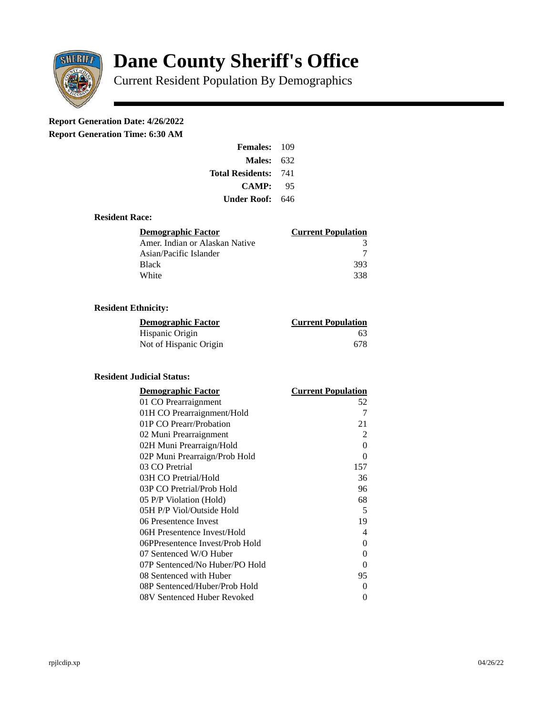

# **Dane County Sheriff's Office**

Current Resident Population By Demographics

# **Report Generation Date: 4/26/2022**

**Report Generation Time: 6:30 AM** 

| <b>Females: 109</b>     |     |
|-------------------------|-----|
| Males:                  | 632 |
| <b>Total Residents:</b> | 741 |
| <b>CAMP:</b>            | 95  |
| Under Roof:             | 646 |

#### **Resident Race:**

| Demographic Factor             | <b>Current Population</b> |
|--------------------------------|---------------------------|
| Amer. Indian or Alaskan Native |                           |
| Asian/Pacific Islander         |                           |
| Black                          | 393                       |
| White                          | 338                       |

## **Resident Ethnicity:**

| <u>Demographic Factor</u> | <u>Current Population</u> |
|---------------------------|---------------------------|
| Hispanic Origin           | 63                        |
| Not of Hispanic Origin    | 678                       |

### **Resident Judicial Status:**

| <u>Demographic Factor</u>       | <b>Current Population</b> |
|---------------------------------|---------------------------|
| 01 CO Prearraignment            | 52                        |
| 01H CO Prearraignment/Hold      | 7                         |
| 01P CO Prearr/Probation         | 21                        |
| 02 Muni Prearraignment          | $\mathcal{P}$             |
| 02H Muni Prearraign/Hold        | $\Omega$                  |
| 02P Muni Prearraign/Prob Hold   | $\Omega$                  |
| 03 CO Pretrial                  | 157                       |
| 03H CO Pretrial/Hold            | 36                        |
| 03P CO Pretrial/Prob Hold       | 96                        |
| 05 P/P Violation (Hold)         | 68                        |
| 05H P/P Viol/Outside Hold       | 5                         |
| 06 Presentence Invest           | 19                        |
| 06H Presentence Invest/Hold     | 4                         |
| 06PPresentence Invest/Prob Hold | 0                         |
| 07 Sentenced W/O Huber          | $\Omega$                  |
| 07P Sentenced/No Huber/PO Hold  | 0                         |
| 08 Sentenced with Huber         | 95                        |
| 08P Sentenced/Huber/Prob Hold   | 0                         |
| 08V Sentenced Huber Revoked     | 0                         |